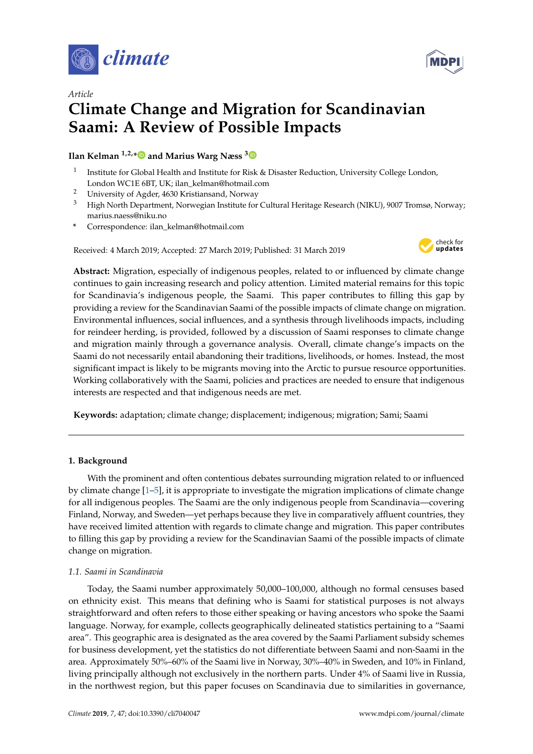

*Article*



# **Climate Change and Migration for Scandinavian Saami: A Review of Possible Impacts**

## **Ilan Kelman 1,2,[\\*](https://orcid.org/0000-0002-4191-6969) and Marius Warg Næss [3](https://orcid.org/0000-0002-2973-5954)**

- 1 Institute for Global Health and Institute for Risk & Disaster Reduction, University College London, London WC1E 6BT, UK; ilan\_kelman@hotmail.com
- <sup>2</sup> University of Agder, 4630 Kristiansand, Norway
- <sup>3</sup> High North Department, Norwegian Institute for Cultural Heritage Research (NIKU), 9007 Tromsø, Norway; marius.naess@niku.no
- **\*** Correspondence: ilan\_kelman@hotmail.com

Received: 4 March 2019; Accepted: 27 March 2019; Published: 31 March 2019



**Abstract:** Migration, especially of indigenous peoples, related to or influenced by climate change continues to gain increasing research and policy attention. Limited material remains for this topic for Scandinavia's indigenous people, the Saami. This paper contributes to filling this gap by providing a review for the Scandinavian Saami of the possible impacts of climate change on migration. Environmental influences, social influences, and a synthesis through livelihoods impacts, including for reindeer herding, is provided, followed by a discussion of Saami responses to climate change and migration mainly through a governance analysis. Overall, climate change's impacts on the Saami do not necessarily entail abandoning their traditions, livelihoods, or homes. Instead, the most significant impact is likely to be migrants moving into the Arctic to pursue resource opportunities. Working collaboratively with the Saami, policies and practices are needed to ensure that indigenous interests are respected and that indigenous needs are met.

**Keywords:** adaptation; climate change; displacement; indigenous; migration; Sami; Saami

## **1. Background**

With the prominent and often contentious debates surrounding migration related to or influenced by climate change [\[1](#page-10-0)[–5\]](#page-10-1), it is appropriate to investigate the migration implications of climate change for all indigenous peoples. The Saami are the only indigenous people from Scandinavia—covering Finland, Norway, and Sweden—yet perhaps because they live in comparatively affluent countries, they have received limited attention with regards to climate change and migration. This paper contributes to filling this gap by providing a review for the Scandinavian Saami of the possible impacts of climate change on migration.

## *1.1. Saami in Scandinavia*

Today, the Saami number approximately 50,000–100,000, although no formal censuses based on ethnicity exist. This means that defining who is Saami for statistical purposes is not always straightforward and often refers to those either speaking or having ancestors who spoke the Saami language. Norway, for example, collects geographically delineated statistics pertaining to a "Saami area". This geographic area is designated as the area covered by the Saami Parliament subsidy schemes for business development, yet the statistics do not differentiate between Saami and non-Saami in the area. Approximately 50%–60% of the Saami live in Norway, 30%–40% in Sweden, and 10% in Finland, living principally although not exclusively in the northern parts. Under 4% of Saami live in Russia, in the northwest region, but this paper focuses on Scandinavia due to similarities in governance,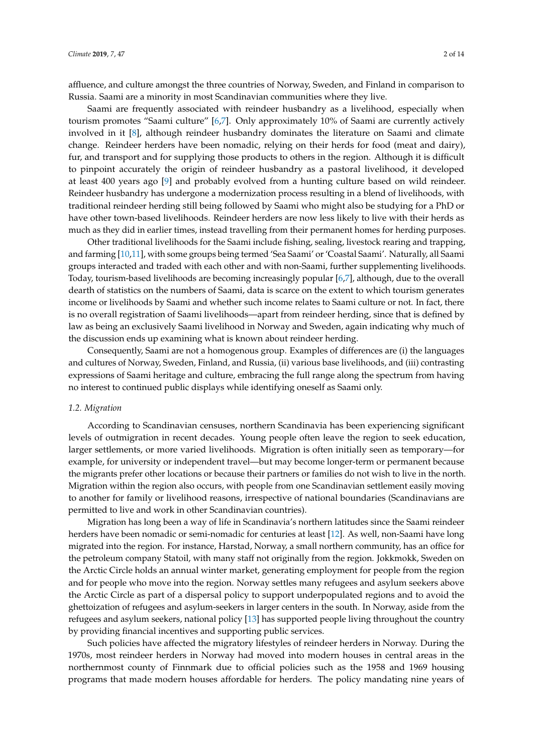affluence, and culture amongst the three countries of Norway, Sweden, and Finland in comparison to Russia. Saami are a minority in most Scandinavian communities where they live.

Saami are frequently associated with reindeer husbandry as a livelihood, especially when tourism promotes "Saami culture" [\[6](#page-10-2)[,7\]](#page-10-3). Only approximately 10% of Saami are currently actively involved in it [\[8\]](#page-10-4), although reindeer husbandry dominates the literature on Saami and climate change. Reindeer herders have been nomadic, relying on their herds for food (meat and dairy), fur, and transport and for supplying those products to others in the region. Although it is difficult to pinpoint accurately the origin of reindeer husbandry as a pastoral livelihood, it developed at least 400 years ago [\[9\]](#page-10-5) and probably evolved from a hunting culture based on wild reindeer. Reindeer husbandry has undergone a modernization process resulting in a blend of livelihoods, with traditional reindeer herding still being followed by Saami who might also be studying for a PhD or have other town-based livelihoods. Reindeer herders are now less likely to live with their herds as much as they did in earlier times, instead travelling from their permanent homes for herding purposes.

Other traditional livelihoods for the Saami include fishing, sealing, livestock rearing and trapping, and farming [\[10,](#page-10-6)[11\]](#page-10-7), with some groups being termed 'Sea Saami' or 'Coastal Saami'. Naturally, all Saami groups interacted and traded with each other and with non-Saami, further supplementing livelihoods. Today, tourism-based livelihoods are becoming increasingly popular [\[6,](#page-10-2)[7\]](#page-10-3), although, due to the overall dearth of statistics on the numbers of Saami, data is scarce on the extent to which tourism generates income or livelihoods by Saami and whether such income relates to Saami culture or not. In fact, there is no overall registration of Saami livelihoods—apart from reindeer herding, since that is defined by law as being an exclusively Saami livelihood in Norway and Sweden, again indicating why much of the discussion ends up examining what is known about reindeer herding.

Consequently, Saami are not a homogenous group. Examples of differences are (i) the languages and cultures of Norway, Sweden, Finland, and Russia, (ii) various base livelihoods, and (iii) contrasting expressions of Saami heritage and culture, embracing the full range along the spectrum from having no interest to continued public displays while identifying oneself as Saami only.

#### *1.2. Migration*

According to Scandinavian censuses, northern Scandinavia has been experiencing significant levels of outmigration in recent decades. Young people often leave the region to seek education, larger settlements, or more varied livelihoods. Migration is often initially seen as temporary—for example, for university or independent travel—but may become longer-term or permanent because the migrants prefer other locations or because their partners or families do not wish to live in the north. Migration within the region also occurs, with people from one Scandinavian settlement easily moving to another for family or livelihood reasons, irrespective of national boundaries (Scandinavians are permitted to live and work in other Scandinavian countries).

Migration has long been a way of life in Scandinavia's northern latitudes since the Saami reindeer herders have been nomadic or semi-nomadic for centuries at least [\[12\]](#page-10-8). As well, non-Saami have long migrated into the region. For instance, Harstad, Norway, a small northern community, has an office for the petroleum company Statoil, with many staff not originally from the region. Jokkmokk, Sweden on the Arctic Circle holds an annual winter market, generating employment for people from the region and for people who move into the region. Norway settles many refugees and asylum seekers above the Arctic Circle as part of a dispersal policy to support underpopulated regions and to avoid the ghettoization of refugees and asylum-seekers in larger centers in the south. In Norway, aside from the refugees and asylum seekers, national policy [\[13\]](#page-10-9) has supported people living throughout the country by providing financial incentives and supporting public services.

Such policies have affected the migratory lifestyles of reindeer herders in Norway. During the 1970s, most reindeer herders in Norway had moved into modern houses in central areas in the northernmost county of Finnmark due to official policies such as the 1958 and 1969 housing programs that made modern houses affordable for herders. The policy mandating nine years of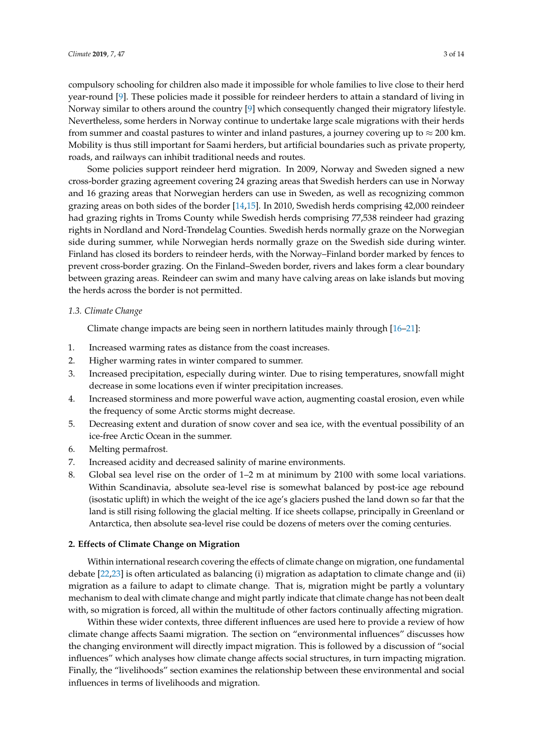compulsory schooling for children also made it impossible for whole families to live close to their herd year-round [\[9\]](#page-10-5). These policies made it possible for reindeer herders to attain a standard of living in Norway similar to others around the country [\[9\]](#page-10-5) which consequently changed their migratory lifestyle. Nevertheless, some herders in Norway continue to undertake large scale migrations with their herds from summer and coastal pastures to winter and inland pastures, a journey covering up to  $\approx 200$  km. Mobility is thus still important for Saami herders, but artificial boundaries such as private property, roads, and railways can inhibit traditional needs and routes.

Some policies support reindeer herd migration. In 2009, Norway and Sweden signed a new cross-border grazing agreement covering 24 grazing areas that Swedish herders can use in Norway and 16 grazing areas that Norwegian herders can use in Sweden, as well as recognizing common grazing areas on both sides of the border [\[14,](#page-10-10)[15\]](#page-11-0). In 2010, Swedish herds comprising 42,000 reindeer had grazing rights in Troms County while Swedish herds comprising 77,538 reindeer had grazing rights in Nordland and Nord-Trøndelag Counties. Swedish herds normally graze on the Norwegian side during summer, while Norwegian herds normally graze on the Swedish side during winter. Finland has closed its borders to reindeer herds, with the Norway–Finland border marked by fences to prevent cross-border grazing. On the Finland–Sweden border, rivers and lakes form a clear boundary between grazing areas. Reindeer can swim and many have calving areas on lake islands but moving the herds across the border is not permitted.

#### *1.3. Climate Change*

Climate change impacts are being seen in northern latitudes mainly through [\[16–](#page-11-1)[21\]](#page-11-2):

- 1. Increased warming rates as distance from the coast increases.
- 2. Higher warming rates in winter compared to summer.
- 3. Increased precipitation, especially during winter. Due to rising temperatures, snowfall might decrease in some locations even if winter precipitation increases.
- 4. Increased storminess and more powerful wave action, augmenting coastal erosion, even while the frequency of some Arctic storms might decrease.
- 5. Decreasing extent and duration of snow cover and sea ice, with the eventual possibility of an ice-free Arctic Ocean in the summer.
- 6. Melting permafrost.
- 7. Increased acidity and decreased salinity of marine environments.
- 8. Global sea level rise on the order of 1–2 m at minimum by 2100 with some local variations. Within Scandinavia, absolute sea-level rise is somewhat balanced by post-ice age rebound (isostatic uplift) in which the weight of the ice age's glaciers pushed the land down so far that the land is still rising following the glacial melting. If ice sheets collapse, principally in Greenland or Antarctica, then absolute sea-level rise could be dozens of meters over the coming centuries.

#### **2. Effects of Climate Change on Migration**

Within international research covering the effects of climate change on migration, one fundamental debate [\[22](#page-11-3)[,23\]](#page-11-4) is often articulated as balancing (i) migration as adaptation to climate change and (ii) migration as a failure to adapt to climate change. That is, migration might be partly a voluntary mechanism to deal with climate change and might partly indicate that climate change has not been dealt with, so migration is forced, all within the multitude of other factors continually affecting migration.

Within these wider contexts, three different influences are used here to provide a review of how climate change affects Saami migration. The section on "environmental influences" discusses how the changing environment will directly impact migration. This is followed by a discussion of "social influences" which analyses how climate change affects social structures, in turn impacting migration. Finally, the "livelihoods" section examines the relationship between these environmental and social influences in terms of livelihoods and migration.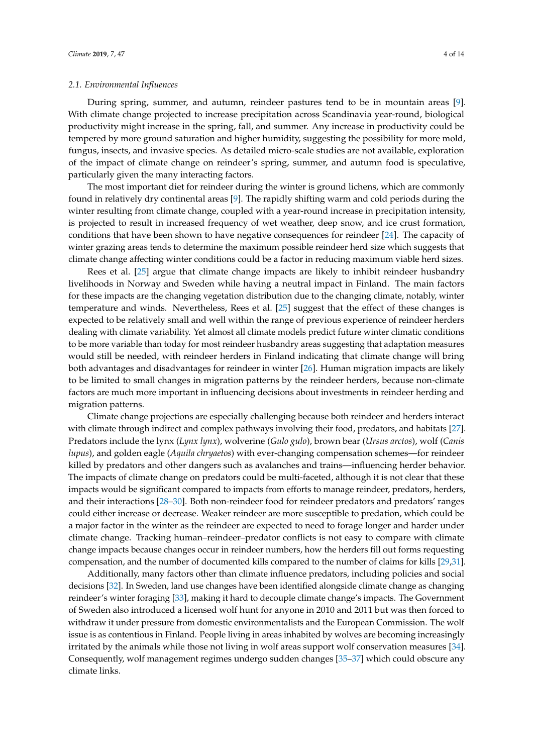#### *2.1. Environmental Influences*

During spring, summer, and autumn, reindeer pastures tend to be in mountain areas [\[9\]](#page-10-5). With climate change projected to increase precipitation across Scandinavia year-round, biological productivity might increase in the spring, fall, and summer. Any increase in productivity could be tempered by more ground saturation and higher humidity, suggesting the possibility for more mold, fungus, insects, and invasive species. As detailed micro-scale studies are not available, exploration of the impact of climate change on reindeer's spring, summer, and autumn food is speculative, particularly given the many interacting factors.

The most important diet for reindeer during the winter is ground lichens, which are commonly found in relatively dry continental areas [\[9\]](#page-10-5). The rapidly shifting warm and cold periods during the winter resulting from climate change, coupled with a year-round increase in precipitation intensity, is projected to result in increased frequency of wet weather, deep snow, and ice crust formation, conditions that have been shown to have negative consequences for reindeer [\[24\]](#page-11-5). The capacity of winter grazing areas tends to determine the maximum possible reindeer herd size which suggests that climate change affecting winter conditions could be a factor in reducing maximum viable herd sizes.

Rees et al. [\[25\]](#page-11-6) argue that climate change impacts are likely to inhibit reindeer husbandry livelihoods in Norway and Sweden while having a neutral impact in Finland. The main factors for these impacts are the changing vegetation distribution due to the changing climate, notably, winter temperature and winds. Nevertheless, Rees et al. [\[25\]](#page-11-6) suggest that the effect of these changes is expected to be relatively small and well within the range of previous experience of reindeer herders dealing with climate variability. Yet almost all climate models predict future winter climatic conditions to be more variable than today for most reindeer husbandry areas suggesting that adaptation measures would still be needed, with reindeer herders in Finland indicating that climate change will bring both advantages and disadvantages for reindeer in winter [\[26\]](#page-11-7). Human migration impacts are likely to be limited to small changes in migration patterns by the reindeer herders, because non-climate factors are much more important in influencing decisions about investments in reindeer herding and migration patterns.

Climate change projections are especially challenging because both reindeer and herders interact with climate through indirect and complex pathways involving their food, predators, and habitats [\[27\]](#page-11-8). Predators include the lynx (*Lynx lynx*), wolverine (*Gulo gulo*), brown bear (*Ursus arctos*), wolf (*Canis lupus*), and golden eagle (*Aquila chryaetos*) with ever-changing compensation schemes—for reindeer killed by predators and other dangers such as avalanches and trains—influencing herder behavior. The impacts of climate change on predators could be multi-faceted, although it is not clear that these impacts would be significant compared to impacts from efforts to manage reindeer, predators, herders, and their interactions [\[28](#page-11-9)[–30\]](#page-11-10). Both non-reindeer food for reindeer predators and predators' ranges could either increase or decrease. Weaker reindeer are more susceptible to predation, which could be a major factor in the winter as the reindeer are expected to need to forage longer and harder under climate change. Tracking human–reindeer–predator conflicts is not easy to compare with climate change impacts because changes occur in reindeer numbers, how the herders fill out forms requesting compensation, and the number of documented kills compared to the number of claims for kills [\[29](#page-11-11)[,31\]](#page-11-12).

Additionally, many factors other than climate influence predators, including policies and social decisions [\[32\]](#page-11-13). In Sweden, land use changes have been identified alongside climate change as changing reindeer's winter foraging [\[33\]](#page-11-14), making it hard to decouple climate change's impacts. The Government of Sweden also introduced a licensed wolf hunt for anyone in 2010 and 2011 but was then forced to withdraw it under pressure from domestic environmentalists and the European Commission. The wolf issue is as contentious in Finland. People living in areas inhabited by wolves are becoming increasingly irritated by the animals while those not living in wolf areas support wolf conservation measures [\[34\]](#page-11-15). Consequently, wolf management regimes undergo sudden changes [\[35](#page-11-16)[–37\]](#page-11-17) which could obscure any climate links.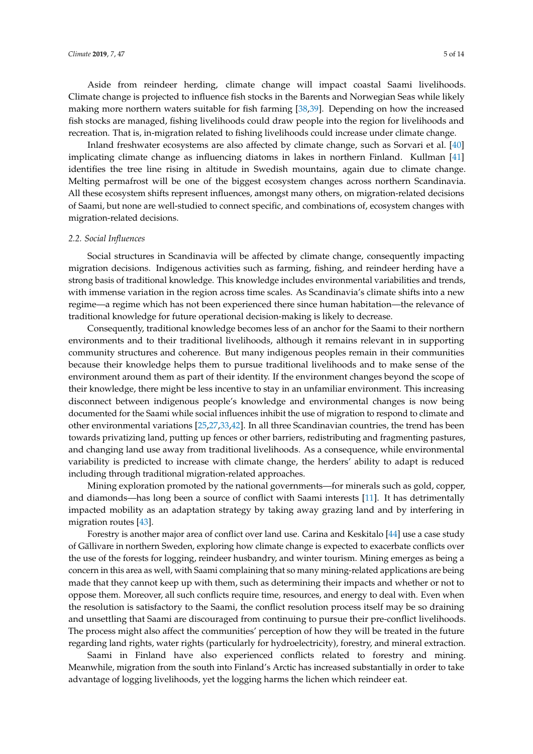Aside from reindeer herding, climate change will impact coastal Saami livelihoods. Climate change is projected to influence fish stocks in the Barents and Norwegian Seas while likely making more northern waters suitable for fish farming [\[38](#page-11-18)[,39\]](#page-11-19). Depending on how the increased fish stocks are managed, fishing livelihoods could draw people into the region for livelihoods and recreation. That is, in-migration related to fishing livelihoods could increase under climate change.

Inland freshwater ecosystems are also affected by climate change, such as Sorvari et al. [\[40\]](#page-12-0) implicating climate change as influencing diatoms in lakes in northern Finland. Kullman [\[41\]](#page-12-1) identifies the tree line rising in altitude in Swedish mountains, again due to climate change. Melting permafrost will be one of the biggest ecosystem changes across northern Scandinavia. All these ecosystem shifts represent influences, amongst many others, on migration-related decisions of Saami, but none are well-studied to connect specific, and combinations of, ecosystem changes with migration-related decisions.

#### *2.2. Social Influences*

Social structures in Scandinavia will be affected by climate change, consequently impacting migration decisions. Indigenous activities such as farming, fishing, and reindeer herding have a strong basis of traditional knowledge. This knowledge includes environmental variabilities and trends, with immense variation in the region across time scales. As Scandinavia's climate shifts into a new regime—a regime which has not been experienced there since human habitation—the relevance of traditional knowledge for future operational decision-making is likely to decrease.

Consequently, traditional knowledge becomes less of an anchor for the Saami to their northern environments and to their traditional livelihoods, although it remains relevant in in supporting community structures and coherence. But many indigenous peoples remain in their communities because their knowledge helps them to pursue traditional livelihoods and to make sense of the environment around them as part of their identity. If the environment changes beyond the scope of their knowledge, there might be less incentive to stay in an unfamiliar environment. This increasing disconnect between indigenous people's knowledge and environmental changes is now being documented for the Saami while social influences inhibit the use of migration to respond to climate and other environmental variations [\[25,](#page-11-6)[27](#page-11-8)[,33](#page-11-14)[,42\]](#page-12-2). In all three Scandinavian countries, the trend has been towards privatizing land, putting up fences or other barriers, redistributing and fragmenting pastures, and changing land use away from traditional livelihoods. As a consequence, while environmental variability is predicted to increase with climate change, the herders' ability to adapt is reduced including through traditional migration-related approaches.

Mining exploration promoted by the national governments—for minerals such as gold, copper, and diamonds—has long been a source of conflict with Saami interests [\[11\]](#page-10-7). It has detrimentally impacted mobility as an adaptation strategy by taking away grazing land and by interfering in migration routes [\[43\]](#page-12-3).

Forestry is another major area of conflict over land use. Carina and Keskitalo [\[44\]](#page-12-4) use a case study of Gällivare in northern Sweden, exploring how climate change is expected to exacerbate conflicts over the use of the forests for logging, reindeer husbandry, and winter tourism. Mining emerges as being a concern in this area as well, with Saami complaining that so many mining-related applications are being made that they cannot keep up with them, such as determining their impacts and whether or not to oppose them. Moreover, all such conflicts require time, resources, and energy to deal with. Even when the resolution is satisfactory to the Saami, the conflict resolution process itself may be so draining and unsettling that Saami are discouraged from continuing to pursue their pre-conflict livelihoods. The process might also affect the communities' perception of how they will be treated in the future regarding land rights, water rights (particularly for hydroelectricity), forestry, and mineral extraction.

Saami in Finland have also experienced conflicts related to forestry and mining. Meanwhile, migration from the south into Finland's Arctic has increased substantially in order to take advantage of logging livelihoods, yet the logging harms the lichen which reindeer eat.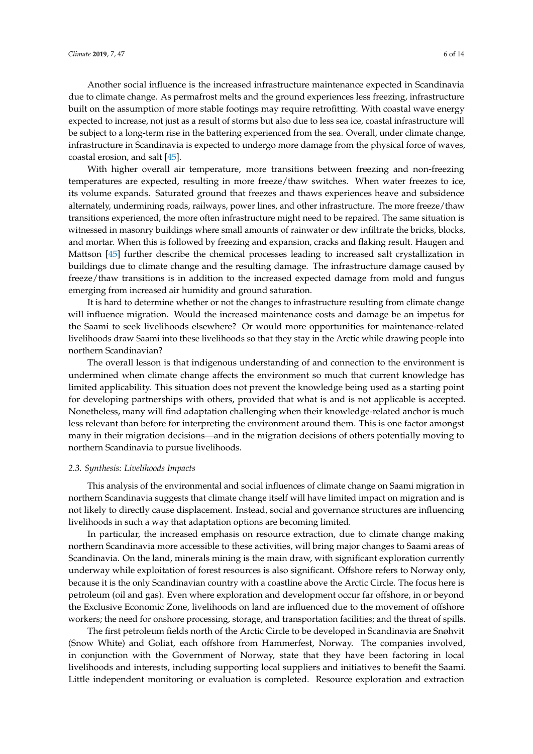Another social influence is the increased infrastructure maintenance expected in Scandinavia due to climate change. As permafrost melts and the ground experiences less freezing, infrastructure built on the assumption of more stable footings may require retrofitting. With coastal wave energy expected to increase, not just as a result of storms but also due to less sea ice, coastal infrastructure will be subject to a long-term rise in the battering experienced from the sea. Overall, under climate change, infrastructure in Scandinavia is expected to undergo more damage from the physical force of waves, coastal erosion, and salt [\[45\]](#page-12-5).

With higher overall air temperature, more transitions between freezing and non-freezing temperatures are expected, resulting in more freeze/thaw switches. When water freezes to ice, its volume expands. Saturated ground that freezes and thaws experiences heave and subsidence alternately, undermining roads, railways, power lines, and other infrastructure. The more freeze/thaw transitions experienced, the more often infrastructure might need to be repaired. The same situation is witnessed in masonry buildings where small amounts of rainwater or dew infiltrate the bricks, blocks, and mortar. When this is followed by freezing and expansion, cracks and flaking result. Haugen and Mattson [\[45\]](#page-12-5) further describe the chemical processes leading to increased salt crystallization in buildings due to climate change and the resulting damage. The infrastructure damage caused by freeze/thaw transitions is in addition to the increased expected damage from mold and fungus emerging from increased air humidity and ground saturation.

It is hard to determine whether or not the changes to infrastructure resulting from climate change will influence migration. Would the increased maintenance costs and damage be an impetus for the Saami to seek livelihoods elsewhere? Or would more opportunities for maintenance-related livelihoods draw Saami into these livelihoods so that they stay in the Arctic while drawing people into northern Scandinavian?

The overall lesson is that indigenous understanding of and connection to the environment is undermined when climate change affects the environment so much that current knowledge has limited applicability. This situation does not prevent the knowledge being used as a starting point for developing partnerships with others, provided that what is and is not applicable is accepted. Nonetheless, many will find adaptation challenging when their knowledge-related anchor is much less relevant than before for interpreting the environment around them. This is one factor amongst many in their migration decisions—and in the migration decisions of others potentially moving to northern Scandinavia to pursue livelihoods.

#### *2.3. Synthesis: Livelihoods Impacts*

This analysis of the environmental and social influences of climate change on Saami migration in northern Scandinavia suggests that climate change itself will have limited impact on migration and is not likely to directly cause displacement. Instead, social and governance structures are influencing livelihoods in such a way that adaptation options are becoming limited.

In particular, the increased emphasis on resource extraction, due to climate change making northern Scandinavia more accessible to these activities, will bring major changes to Saami areas of Scandinavia. On the land, minerals mining is the main draw, with significant exploration currently underway while exploitation of forest resources is also significant. Offshore refers to Norway only, because it is the only Scandinavian country with a coastline above the Arctic Circle. The focus here is petroleum (oil and gas). Even where exploration and development occur far offshore, in or beyond the Exclusive Economic Zone, livelihoods on land are influenced due to the movement of offshore workers; the need for onshore processing, storage, and transportation facilities; and the threat of spills.

The first petroleum fields north of the Arctic Circle to be developed in Scandinavia are Snøhvit (Snow White) and Goliat, each offshore from Hammerfest, Norway. The companies involved, in conjunction with the Government of Norway, state that they have been factoring in local livelihoods and interests, including supporting local suppliers and initiatives to benefit the Saami. Little independent monitoring or evaluation is completed. Resource exploration and extraction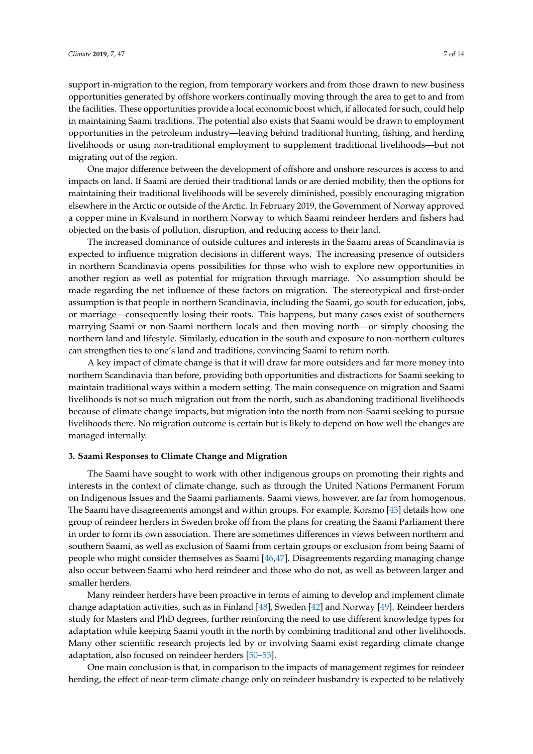support in-migration to the region, from temporary workers and from those drawn to new business opportunities generated by offshore workers continually moving through the area to get to and from the facilities. These opportunities provide a local economic boost which, if allocated for such, could help in maintaining Saami traditions. The potential also exists that Saami would be drawn to employment opportunities in the petroleum industry—leaving behind traditional hunting, fishing, and herding livelihoods or using non-traditional employment to supplement traditional livelihoods—but not migrating out of the region.

One major difference between the development of offshore and onshore resources is access to and impacts on land. If Saami are denied their traditional lands or are denied mobility, then the options for maintaining their traditional livelihoods will be severely diminished, possibly encouraging migration elsewhere in the Arctic or outside of the Arctic. In February 2019, the Government of Norway approved a copper mine in Kvalsund in northern Norway to which Saami reindeer herders and fishers had objected on the basis of pollution, disruption, and reducing access to their land.

The increased dominance of outside cultures and interests in the Saami areas of Scandinavia is expected to influence migration decisions in different ways. The increasing presence of outsiders in northern Scandinavia opens possibilities for those who wish to explore new opportunities in another region as well as potential for migration through marriage. No assumption should be made regarding the net influence of these factors on migration. The stereotypical and first-order assumption is that people in northern Scandinavia, including the Saami, go south for education, jobs, or marriage—consequently losing their roots. This happens, but many cases exist of southerners marrying Saami or non-Saami northern locals and then moving north—or simply choosing the northern land and lifestyle. Similarly, education in the south and exposure to non-northern cultures can strengthen ties to one's land and traditions, convincing Saami to return north.

A key impact of climate change is that it will draw far more outsiders and far more money into northern Scandinavia than before, providing both opportunities and distractions for Saami seeking to maintain traditional ways within a modern setting. The main consequence on migration and Saami livelihoods is not so much migration out from the north, such as abandoning traditional livelihoods because of climate change impacts, but migration into the north from non-Saami seeking to pursue livelihoods there. No migration outcome is certain but is likely to depend on how well the changes are managed internally.

## **3. Saami Responses to Climate Change and Migration**

The Saami have sought to work with other indigenous groups on promoting their rights and interests in the context of climate change, such as through the United Nations Permanent Forum on Indigenous Issues and the Saami parliaments. Saami views, however, are far from homogenous. The Saami have disagreements amongst and within groups. For example, Korsmo [\[43\]](#page-12-3) details how one group of reindeer herders in Sweden broke off from the plans for creating the Saami Parliament there in order to form its own association. There are sometimes differences in views between northern and southern Saami, as well as exclusion of Saami from certain groups or exclusion from being Saami of people who might consider themselves as Saami [\[46,](#page-12-6)[47\]](#page-12-7). Disagreements regarding managing change also occur between Saami who herd reindeer and those who do not, as well as between larger and smaller herders.

Many reindeer herders have been proactive in terms of aiming to develop and implement climate change adaptation activities, such as in Finland [\[48\]](#page-12-8), Sweden [\[42\]](#page-12-2) and Norway [\[49\]](#page-12-9). Reindeer herders study for Masters and PhD degrees, further reinforcing the need to use different knowledge types for adaptation while keeping Saami youth in the north by combining traditional and other livelihoods. Many other scientific research projects led by or involving Saami exist regarding climate change adaptation, also focused on reindeer herders [\[50](#page-12-10)[–53\]](#page-12-11).

One main conclusion is that, in comparison to the impacts of management regimes for reindeer herding, the effect of near-term climate change only on reindeer husbandry is expected to be relatively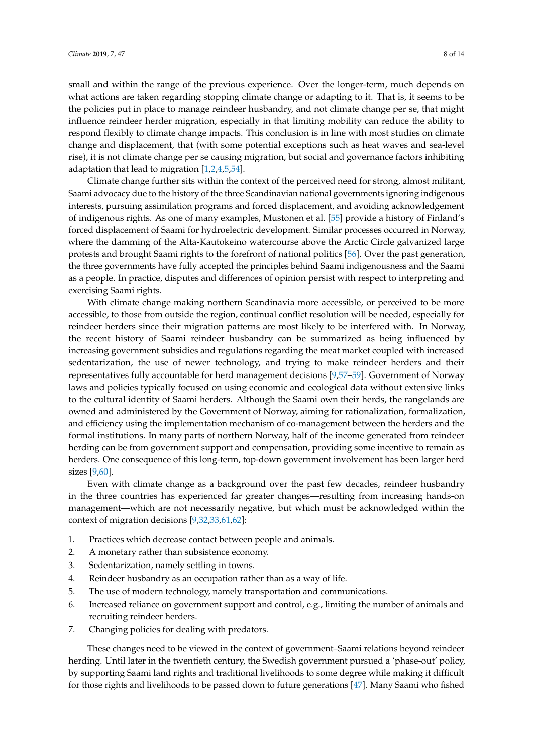small and within the range of the previous experience. Over the longer-term, much depends on what actions are taken regarding stopping climate change or adapting to it. That is, it seems to be the policies put in place to manage reindeer husbandry, and not climate change per se, that might influence reindeer herder migration, especially in that limiting mobility can reduce the ability to respond flexibly to climate change impacts. This conclusion is in line with most studies on climate change and displacement, that (with some potential exceptions such as heat waves and sea-level rise), it is not climate change per se causing migration, but social and governance factors inhibiting adaptation that lead to migration [\[1,](#page-10-0)[2,](#page-10-11)[4,](#page-10-12)[5,](#page-10-1)[54\]](#page-12-12).

Climate change further sits within the context of the perceived need for strong, almost militant, Saami advocacy due to the history of the three Scandinavian national governments ignoring indigenous interests, pursuing assimilation programs and forced displacement, and avoiding acknowledgement of indigenous rights. As one of many examples, Mustonen et al. [\[55\]](#page-12-13) provide a history of Finland's forced displacement of Saami for hydroelectric development. Similar processes occurred in Norway, where the damming of the Alta-Kautokeino watercourse above the Arctic Circle galvanized large protests and brought Saami rights to the forefront of national politics [\[56\]](#page-12-14). Over the past generation, the three governments have fully accepted the principles behind Saami indigenousness and the Saami as a people. In practice, disputes and differences of opinion persist with respect to interpreting and exercising Saami rights.

With climate change making northern Scandinavia more accessible, or perceived to be more accessible, to those from outside the region, continual conflict resolution will be needed, especially for reindeer herders since their migration patterns are most likely to be interfered with. In Norway, the recent history of Saami reindeer husbandry can be summarized as being influenced by increasing government subsidies and regulations regarding the meat market coupled with increased sedentarization, the use of newer technology, and trying to make reindeer herders and their representatives fully accountable for herd management decisions [\[9](#page-10-5)[,57](#page-12-15)[–59\]](#page-12-16). Government of Norway laws and policies typically focused on using economic and ecological data without extensive links to the cultural identity of Saami herders. Although the Saami own their herds, the rangelands are owned and administered by the Government of Norway, aiming for rationalization, formalization, and efficiency using the implementation mechanism of co-management between the herders and the formal institutions. In many parts of northern Norway, half of the income generated from reindeer herding can be from government support and compensation, providing some incentive to remain as herders. One consequence of this long-term, top-down government involvement has been larger herd sizes [\[9](#page-10-5)[,60\]](#page-12-17).

Even with climate change as a background over the past few decades, reindeer husbandry in the three countries has experienced far greater changes—resulting from increasing hands-on management—which are not necessarily negative, but which must be acknowledged within the context of migration decisions [\[9](#page-10-5)[,32](#page-11-13)[,33](#page-11-14)[,61](#page-12-18)[,62\]](#page-12-19):

- 1. Practices which decrease contact between people and animals.
- 2. A monetary rather than subsistence economy.
- 3. Sedentarization, namely settling in towns.
- 4. Reindeer husbandry as an occupation rather than as a way of life.
- 5. The use of modern technology, namely transportation and communications.
- 6. Increased reliance on government support and control, e.g., limiting the number of animals and recruiting reindeer herders.
- 7. Changing policies for dealing with predators.

These changes need to be viewed in the context of government–Saami relations beyond reindeer herding. Until later in the twentieth century, the Swedish government pursued a 'phase-out' policy, by supporting Saami land rights and traditional livelihoods to some degree while making it difficult for those rights and livelihoods to be passed down to future generations [\[47\]](#page-12-7). Many Saami who fished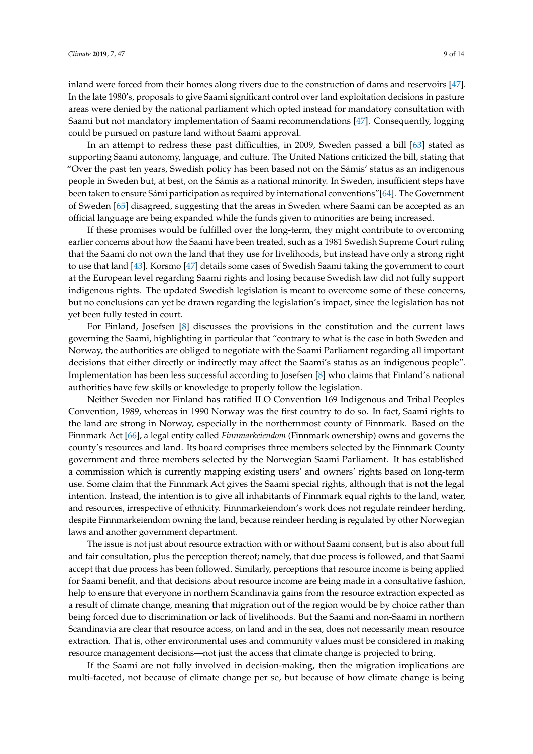inland were forced from their homes along rivers due to the construction of dams and reservoirs [\[47\]](#page-12-7). In the late 1980's, proposals to give Saami significant control over land exploitation decisions in pasture areas were denied by the national parliament which opted instead for mandatory consultation with Saami but not mandatory implementation of Saami recommendations [\[47\]](#page-12-7). Consequently, logging could be pursued on pasture land without Saami approval.

In an attempt to redress these past difficulties, in 2009, Sweden passed a bill [\[63\]](#page-12-20) stated as supporting Saami autonomy, language, and culture. The United Nations criticized the bill, stating that "Over the past ten years, Swedish policy has been based not on the Sámis' status as an indigenous people in Sweden but, at best, on the Sámis as a national minority. In Sweden, insufficient steps have been taken to ensure Sámi participation as required by international conventions"[\[64\]](#page-12-21). The Government of Sweden [\[65\]](#page-13-0) disagreed, suggesting that the areas in Sweden where Saami can be accepted as an official language are being expanded while the funds given to minorities are being increased.

If these promises would be fulfilled over the long-term, they might contribute to overcoming earlier concerns about how the Saami have been treated, such as a 1981 Swedish Supreme Court ruling that the Saami do not own the land that they use for livelihoods, but instead have only a strong right to use that land [\[43\]](#page-12-3). Korsmo [\[47\]](#page-12-7) details some cases of Swedish Saami taking the government to court at the European level regarding Saami rights and losing because Swedish law did not fully support indigenous rights. The updated Swedish legislation is meant to overcome some of these concerns, but no conclusions can yet be drawn regarding the legislation's impact, since the legislation has not yet been fully tested in court.

For Finland, Josefsen [\[8\]](#page-10-4) discusses the provisions in the constitution and the current laws governing the Saami, highlighting in particular that "contrary to what is the case in both Sweden and Norway, the authorities are obliged to negotiate with the Saami Parliament regarding all important decisions that either directly or indirectly may affect the Saami's status as an indigenous people". Implementation has been less successful according to Josefsen [\[8\]](#page-10-4) who claims that Finland's national authorities have few skills or knowledge to properly follow the legislation.

Neither Sweden nor Finland has ratified ILO Convention 169 Indigenous and Tribal Peoples Convention, 1989, whereas in 1990 Norway was the first country to do so. In fact, Saami rights to the land are strong in Norway, especially in the northernmost county of Finnmark. Based on the Finnmark Act [\[66\]](#page-13-1), a legal entity called *Finnmarkeiendom* (Finnmark ownership) owns and governs the county's resources and land. Its board comprises three members selected by the Finnmark County government and three members selected by the Norwegian Saami Parliament. It has established a commission which is currently mapping existing users' and owners' rights based on long-term use. Some claim that the Finnmark Act gives the Saami special rights, although that is not the legal intention. Instead, the intention is to give all inhabitants of Finnmark equal rights to the land, water, and resources, irrespective of ethnicity. Finnmarkeiendom's work does not regulate reindeer herding, despite Finnmarkeiendom owning the land, because reindeer herding is regulated by other Norwegian laws and another government department.

The issue is not just about resource extraction with or without Saami consent, but is also about full and fair consultation, plus the perception thereof; namely, that due process is followed, and that Saami accept that due process has been followed. Similarly, perceptions that resource income is being applied for Saami benefit, and that decisions about resource income are being made in a consultative fashion, help to ensure that everyone in northern Scandinavia gains from the resource extraction expected as a result of climate change, meaning that migration out of the region would be by choice rather than being forced due to discrimination or lack of livelihoods. But the Saami and non-Saami in northern Scandinavia are clear that resource access, on land and in the sea, does not necessarily mean resource extraction. That is, other environmental uses and community values must be considered in making resource management decisions—not just the access that climate change is projected to bring.

If the Saami are not fully involved in decision-making, then the migration implications are multi-faceted, not because of climate change per se, but because of how climate change is being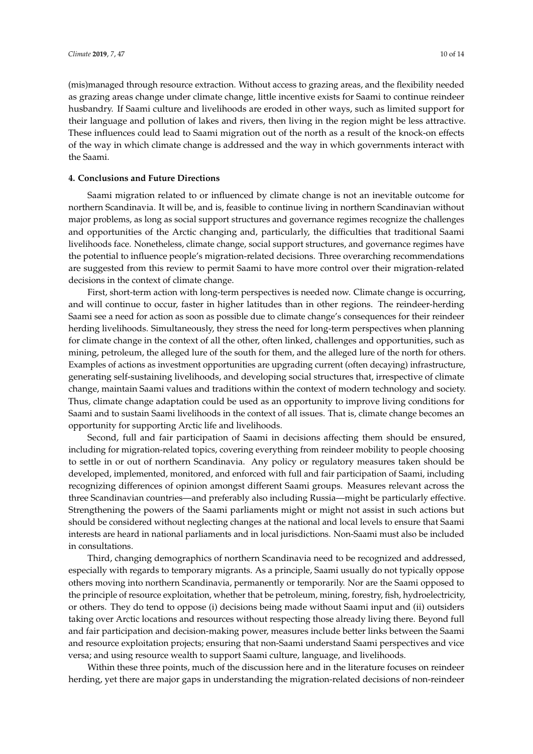(mis)managed through resource extraction. Without access to grazing areas, and the flexibility needed as grazing areas change under climate change, little incentive exists for Saami to continue reindeer husbandry. If Saami culture and livelihoods are eroded in other ways, such as limited support for their language and pollution of lakes and rivers, then living in the region might be less attractive. These influences could lead to Saami migration out of the north as a result of the knock-on effects of the way in which climate change is addressed and the way in which governments interact with the Saami.

## **4. Conclusions and Future Directions**

Saami migration related to or influenced by climate change is not an inevitable outcome for northern Scandinavia. It will be, and is, feasible to continue living in northern Scandinavian without major problems, as long as social support structures and governance regimes recognize the challenges and opportunities of the Arctic changing and, particularly, the difficulties that traditional Saami livelihoods face. Nonetheless, climate change, social support structures, and governance regimes have the potential to influence people's migration-related decisions. Three overarching recommendations are suggested from this review to permit Saami to have more control over their migration-related decisions in the context of climate change.

First, short-term action with long-term perspectives is needed now. Climate change is occurring, and will continue to occur, faster in higher latitudes than in other regions. The reindeer-herding Saami see a need for action as soon as possible due to climate change's consequences for their reindeer herding livelihoods. Simultaneously, they stress the need for long-term perspectives when planning for climate change in the context of all the other, often linked, challenges and opportunities, such as mining, petroleum, the alleged lure of the south for them, and the alleged lure of the north for others. Examples of actions as investment opportunities are upgrading current (often decaying) infrastructure, generating self-sustaining livelihoods, and developing social structures that, irrespective of climate change, maintain Saami values and traditions within the context of modern technology and society. Thus, climate change adaptation could be used as an opportunity to improve living conditions for Saami and to sustain Saami livelihoods in the context of all issues. That is, climate change becomes an opportunity for supporting Arctic life and livelihoods.

Second, full and fair participation of Saami in decisions affecting them should be ensured, including for migration-related topics, covering everything from reindeer mobility to people choosing to settle in or out of northern Scandinavia. Any policy or regulatory measures taken should be developed, implemented, monitored, and enforced with full and fair participation of Saami, including recognizing differences of opinion amongst different Saami groups. Measures relevant across the three Scandinavian countries—and preferably also including Russia—might be particularly effective. Strengthening the powers of the Saami parliaments might or might not assist in such actions but should be considered without neglecting changes at the national and local levels to ensure that Saami interests are heard in national parliaments and in local jurisdictions. Non-Saami must also be included in consultations.

Third, changing demographics of northern Scandinavia need to be recognized and addressed, especially with regards to temporary migrants. As a principle, Saami usually do not typically oppose others moving into northern Scandinavia, permanently or temporarily. Nor are the Saami opposed to the principle of resource exploitation, whether that be petroleum, mining, forestry, fish, hydroelectricity, or others. They do tend to oppose (i) decisions being made without Saami input and (ii) outsiders taking over Arctic locations and resources without respecting those already living there. Beyond full and fair participation and decision-making power, measures include better links between the Saami and resource exploitation projects; ensuring that non-Saami understand Saami perspectives and vice versa; and using resource wealth to support Saami culture, language, and livelihoods.

Within these three points, much of the discussion here and in the literature focuses on reindeer herding, yet there are major gaps in understanding the migration-related decisions of non-reindeer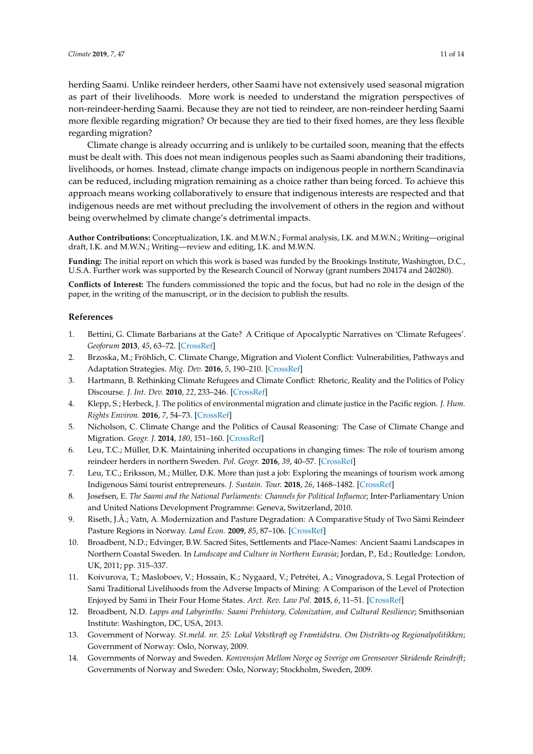herding Saami. Unlike reindeer herders, other Saami have not extensively used seasonal migration as part of their livelihoods. More work is needed to understand the migration perspectives of non-reindeer-herding Saami. Because they are not tied to reindeer, are non-reindeer herding Saami more flexible regarding migration? Or because they are tied to their fixed homes, are they less flexible regarding migration?

Climate change is already occurring and is unlikely to be curtailed soon, meaning that the effects must be dealt with. This does not mean indigenous peoples such as Saami abandoning their traditions, livelihoods, or homes. Instead, climate change impacts on indigenous people in northern Scandinavia can be reduced, including migration remaining as a choice rather than being forced. To achieve this approach means working collaboratively to ensure that indigenous interests are respected and that indigenous needs are met without precluding the involvement of others in the region and without being overwhelmed by climate change's detrimental impacts.

**Author Contributions:** Conceptualization, I.K. and M.W.N.; Formal analysis, I.K. and M.W.N.; Writing—original draft, I.K. and M.W.N.; Writing—review and editing, I.K. and M.W.N.

**Funding:** The initial report on which this work is based was funded by the Brookings Institute, Washington, D.C., U.S.A. Further work was supported by the Research Council of Norway (grant numbers 204174 and 240280).

**Conflicts of Interest:** The funders commissioned the topic and the focus, but had no role in the design of the paper, in the writing of the manuscript, or in the decision to publish the results.

#### **References**

- <span id="page-10-0"></span>1. Bettini, G. Climate Barbarians at the Gate? A Critique of Apocalyptic Narratives on 'Climate Refugees'. *Geoforum* **2013**, *45*, 63–72. [\[CrossRef\]](http://dx.doi.org/10.1016/j.geoforum.2012.09.009)
- <span id="page-10-11"></span>2. Brzoska, M.; Fröhlich, C. Climate Change, Migration and Violent Conflict: Vulnerabilities, Pathways and Adaptation Strategies. *Mig. Dev.* **2016**, *5*, 190–210. [\[CrossRef\]](http://dx.doi.org/10.1080/21632324.2015.1022973)
- 3. Hartmann, B. Rethinking Climate Refugees and Climate Conflict: Rhetoric, Reality and the Politics of Policy Discourse. *J. Int. Dev.* **2010**, *22*, 233–246. [\[CrossRef\]](http://dx.doi.org/10.1002/jid.1676)
- <span id="page-10-12"></span>4. Klepp, S.; Herbeck, J. The politics of environmental migration and climate justice in the Pacific region. *J. Hum. Rights Environ.* **2016**, *7*, 54–73. [\[CrossRef\]](http://dx.doi.org/10.4337/jhre.2016.01.03)
- <span id="page-10-1"></span>5. Nicholson, C. Climate Change and the Politics of Causal Reasoning: The Case of Climate Change and Migration. *Geogr. J.* **2014**, *180*, 151–160. [\[CrossRef\]](http://dx.doi.org/10.1111/geoj.12062)
- <span id="page-10-2"></span>6. Leu, T.C.; Müller, D.K. Maintaining inherited occupations in changing times: The role of tourism among reindeer herders in northern Sweden. *Pol. Geogr.* **2016**, *39*, 40–57. [\[CrossRef\]](http://dx.doi.org/10.1080/1088937X.2016.1148794)
- <span id="page-10-3"></span>7. Leu, T.C.; Eriksson, M.; Müller, D.K. More than just a job: Exploring the meanings of tourism work among Indigenous Sámi tourist entrepreneurs. *J. Sustain. Tour.* **2018**, *26*, 1468–1482. [\[CrossRef\]](http://dx.doi.org/10.1080/09669582.2018.1466894)
- <span id="page-10-4"></span>8. Josefsen, E. *The Saami and the National Parliaments: Channels for Political Influence*; Inter-Parliamentary Union and United Nations Development Programme: Geneva, Switzerland, 2010.
- <span id="page-10-5"></span>9. Riseth, J.Å.; Vatn, A. Modernization and Pasture Degradation: A Comparative Study of Two Sàmi Reindeer Pasture Regions in Norway. *Land Econ.* **2009**, *85*, 87–106. [\[CrossRef\]](http://dx.doi.org/10.3368/le.85.1.87)
- <span id="page-10-6"></span>10. Broadbent, N.D.; Edvinger, B.W. Sacred Sites, Settlements and Place-Names: Ancient Saami Landscapes in Northern Coastal Sweden. In *Landscape and Culture in Northern Eurasia*; Jordan, P., Ed.; Routledge: London, UK, 2011; pp. 315–337.
- <span id="page-10-7"></span>11. Koivurova, T.; Masloboev, V.; Hossain, K.; Nygaard, V.; Petrétei, A.; Vinogradova, S. Legal Protection of Sami Traditional Livelihoods from the Adverse Impacts of Mining: A Comparison of the Level of Protection Enjoyed by Sami in Their Four Home States. *Arct. Rev. Law Pol.* **2015**, *6*, 11–51. [\[CrossRef\]](http://dx.doi.org/10.17585/arctic.v6.76)
- <span id="page-10-8"></span>12. Broadbent, N.D. *Lapps and Labyrinths: Saami Prehistory, Colonization, and Cultural Resilience*; Smithsonian Institute: Washington, DC, USA, 2013.
- <span id="page-10-9"></span>13. Government of Norway. *St.meld. nr. 25: Lokal Vekstkraft og Framtidstru. Om Distrikts-og Regionalpolitikken*; Government of Norway: Oslo, Norway, 2009.
- <span id="page-10-10"></span>14. Governments of Norway and Sweden. *Konvensjon Mellom Norge og Sverige om Grenseover Skridende Reindrift*; Governments of Norway and Sweden: Oslo, Norway; Stockholm, Sweden, 2009.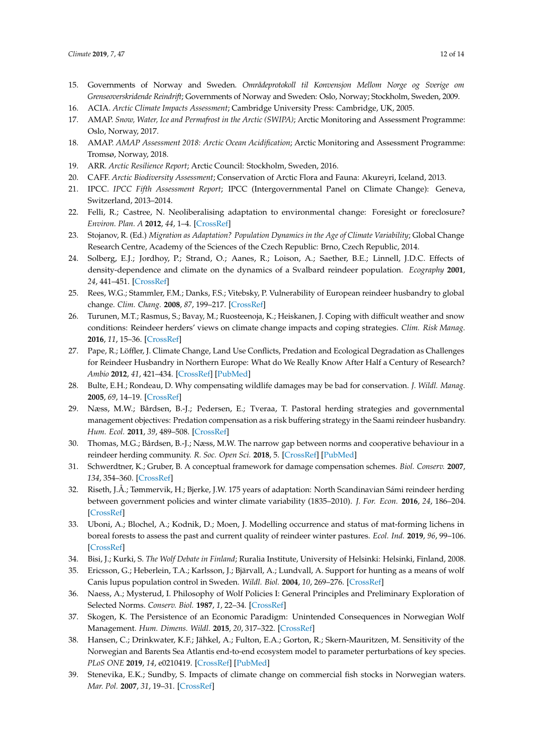- <span id="page-11-0"></span>15. Governments of Norway and Sweden. *Områdeprotokoll til Konvensjon Mellom Norge og Sverige om Grenseoverskridende Reindrift*; Governments of Norway and Sweden: Oslo, Norway; Stockholm, Sweden, 2009.
- <span id="page-11-1"></span>16. ACIA. *Arctic Climate Impacts Assessment*; Cambridge University Press: Cambridge, UK, 2005.
- 17. AMAP. *Snow, Water, Ice and Permafrost in the Arctic (SWIPA)*; Arctic Monitoring and Assessment Programme: Oslo, Norway, 2017.
- 18. AMAP. *AMAP Assessment 2018: Arctic Ocean Acidification*; Arctic Monitoring and Assessment Programme: Tromsø, Norway, 2018.
- 19. ARR. *Arctic Resilience Report*; Arctic Council: Stockholm, Sweden, 2016.
- 20. CAFF. *Arctic Biodiversity Assessment*; Conservation of Arctic Flora and Fauna: Akureyri, Iceland, 2013.
- <span id="page-11-2"></span>21. IPCC. *IPCC Fifth Assessment Report*; IPCC (Intergovernmental Panel on Climate Change): Geneva, Switzerland, 2013–2014.
- <span id="page-11-3"></span>22. Felli, R.; Castree, N. Neoliberalising adaptation to environmental change: Foresight or foreclosure? *Environ. Plan. A* **2012**, *44*, 1–4. [\[CrossRef\]](http://dx.doi.org/10.1068/a44680)
- <span id="page-11-4"></span>23. Stojanov, R. (Ed.) *Migration as Adaptation? Population Dynamics in the Age of Climate Variability*; Global Change Research Centre, Academy of the Sciences of the Czech Republic: Brno, Czech Republic, 2014.
- <span id="page-11-5"></span>24. Solberg, E.J.; Jordhoy, P.; Strand, O.; Aanes, R.; Loison, A.; Saether, B.E.; Linnell, J.D.C. Effects of density-dependence and climate on the dynamics of a Svalbard reindeer population. *Ecography* **2001**, *24*, 441–451. [\[CrossRef\]](http://dx.doi.org/10.1034/j.1600-0587.2001.d01-200.x)
- <span id="page-11-6"></span>25. Rees, W.G.; Stammler, F.M.; Danks, F.S.; Vitebsky, P. Vulnerability of European reindeer husbandry to global change. *Clim. Chang.* **2008**, *87*, 199–217. [\[CrossRef\]](http://dx.doi.org/10.1007/s10584-007-9345-1)
- <span id="page-11-7"></span>26. Turunen, M.T.; Rasmus, S.; Bavay, M.; Ruosteenoja, K.; Heiskanen, J. Coping with difficult weather and snow conditions: Reindeer herders' views on climate change impacts and coping strategies. *Clim. Risk Manag.* **2016**, *11*, 15–36. [\[CrossRef\]](http://dx.doi.org/10.1016/j.crm.2016.01.002)
- <span id="page-11-8"></span>27. Pape, R.; Löffler, J. Climate Change, Land Use Conflicts, Predation and Ecological Degradation as Challenges for Reindeer Husbandry in Northern Europe: What do We Really Know After Half a Century of Research? *Ambio* **2012**, *41*, 421–434. [\[CrossRef\]](http://dx.doi.org/10.1007/s13280-012-0257-6) [\[PubMed\]](http://www.ncbi.nlm.nih.gov/pubmed/22451266)
- <span id="page-11-9"></span>28. Bulte, E.H.; Rondeau, D. Why compensating wildlife damages may be bad for conservation. *J. Wildl. Manag.* **2005**, *69*, 14–19. [\[CrossRef\]](http://dx.doi.org/10.2193/0022-541X(2005)069<0014:WCWDMB>2.0.CO;2)
- <span id="page-11-11"></span>29. Næss, M.W.; Bårdsen, B.-J.; Pedersen, E.; Tveraa, T. Pastoral herding strategies and governmental management objectives: Predation compensation as a risk buffering strategy in the Saami reindeer husbandry. *Hum. Ecol.* **2011**, *39*, 489–508. [\[CrossRef\]](http://dx.doi.org/10.1007/s10745-011-9398-7)
- <span id="page-11-10"></span>30. Thomas, M.G.; Bårdsen, B.-J.; Næss, M.W. The narrow gap between norms and cooperative behaviour in a reindeer herding community. *R. Soc. Open Sci.* **2018**, 5. [\[CrossRef\]](http://dx.doi.org/10.1098/rsos.171221) [\[PubMed\]](http://www.ncbi.nlm.nih.gov/pubmed/29515842)
- <span id="page-11-12"></span>31. Schwerdtner, K.; Gruber, B. A conceptual framework for damage compensation schemes. *Biol. Conserv.* **2007**, *134*, 354–360. [\[CrossRef\]](http://dx.doi.org/10.1016/j.biocon.2006.08.010)
- <span id="page-11-13"></span>32. Riseth, J.Å.; Tømmervik, H.; Bjerke, J.W. 175 years of adaptation: North Scandinavian Sámi reindeer herding between government policies and winter climate variability (1835–2010). *J. For. Econ.* **2016**, *24*, 186–204. [\[CrossRef\]](http://dx.doi.org/10.1016/j.jfe.2016.05.002)
- <span id="page-11-14"></span>33. Uboni, A.; Blochel, A.; Kodnik, D.; Moen, J. Modelling occurrence and status of mat-forming lichens in boreal forests to assess the past and current quality of reindeer winter pastures. *Ecol. Ind.* **2019**, *96*, 99–106. [\[CrossRef\]](http://dx.doi.org/10.1016/j.ecolind.2018.08.008)
- <span id="page-11-16"></span><span id="page-11-15"></span>34. Bisi, J.; Kurki, S. *The Wolf Debate in Finland*; Ruralia Institute, University of Helsinki: Helsinki, Finland, 2008.
- 35. Ericsson, G.; Heberlein, T.A.; Karlsson, J.; Bjärvall, A.; Lundvall, A. Support for hunting as a means of wolf Canis lupus population control in Sweden. *Wildl. Biol.* **2004**, *10*, 269–276. [\[CrossRef\]](http://dx.doi.org/10.2981/wlb.2004.032)
- 36. Naess, A.; Mysterud, I. Philosophy of Wolf Policies I: General Principles and Preliminary Exploration of Selected Norms. *Conserv. Biol.* **1987**, *1*, 22–34. [\[CrossRef\]](http://dx.doi.org/10.1111/j.1523-1739.1987.tb00005.x)
- <span id="page-11-17"></span>37. Skogen, K. The Persistence of an Economic Paradigm: Unintended Consequences in Norwegian Wolf Management. *Hum. Dimens. Wildl.* **2015**, *20*, 317–322. [\[CrossRef\]](http://dx.doi.org/10.1080/10871209.2015.1006796)
- <span id="page-11-18"></span>38. Hansen, C.; Drinkwater, K.F.; Jähkel, A.; Fulton, E.A.; Gorton, R.; Skern-Mauritzen, M. Sensitivity of the Norwegian and Barents Sea Atlantis end-to-end ecosystem model to parameter perturbations of key species. *PLoS ONE* **2019**, *14*, e0210419. [\[CrossRef\]](http://dx.doi.org/10.1371/journal.pone.0210419) [\[PubMed\]](http://www.ncbi.nlm.nih.gov/pubmed/30735534)
- <span id="page-11-19"></span>39. Stenevika, E.K.; Sundby, S. Impacts of climate change on commercial fish stocks in Norwegian waters. *Mar. Pol.* **2007**, *31*, 19–31. [\[CrossRef\]](http://dx.doi.org/10.1016/j.marpol.2006.05.001)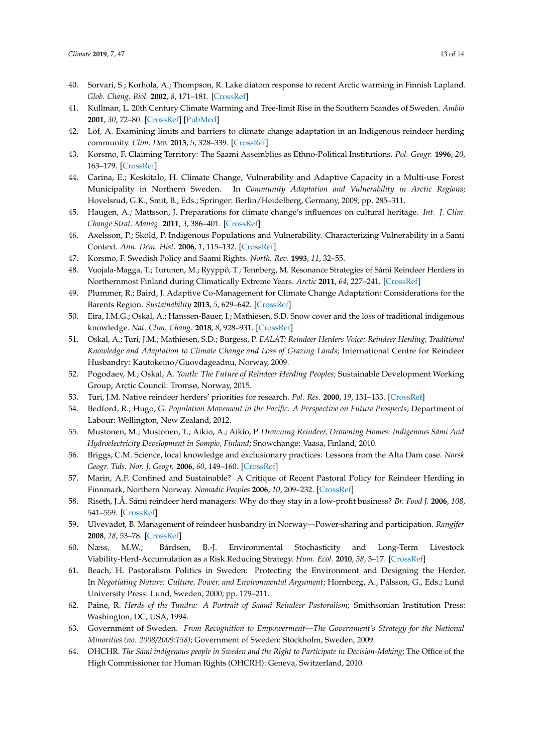- <span id="page-12-0"></span>40. Sorvari, S.; Korhola, A.; Thompson, R. Lake diatom response to recent Arctic warming in Finnish Lapland. *Glob. Chang. Biol.* **2002**, *8*, 171–181. [\[CrossRef\]](http://dx.doi.org/10.1046/j.1365-2486.2002.00463.x)
- <span id="page-12-1"></span>41. Kullman, L. 20th Century Climate Warming and Tree-limit Rise in the Southern Scandes of Sweden. *Ambio* **2001**, *30*, 72–80. [\[CrossRef\]](http://dx.doi.org/10.1579/0044-7447-30.2.72) [\[PubMed\]](http://www.ncbi.nlm.nih.gov/pubmed/11374309)
- <span id="page-12-2"></span>42. Löf, A. Examining limits and barriers to climate change adaptation in an Indigenous reindeer herding community. *Clim. Dev.* **2013**, *5*, 328–339. [\[CrossRef\]](http://dx.doi.org/10.1080/17565529.2013.831338)
- <span id="page-12-3"></span>43. Korsmo, F. Claiming Territory: The Saami Assemblies as Ethno-Political Institutions. *Pol. Geogr.* **1996**, *20*, 163–179. [\[CrossRef\]](http://dx.doi.org/10.1080/10889379609377598)
- <span id="page-12-4"></span>44. Carina, E.; Keskitalo, H. Climate Change, Vulnerability and Adaptive Capacity in a Multi-use Forest Municipality in Northern Sweden. In *Community Adaptation and Vulnerability in Arctic Regions*; Hovelsrud, G.K., Smit, B., Eds.; Springer: Berlin/Heidelberg, Germany, 2009; pp. 285–311.
- <span id="page-12-5"></span>45. Haugen, A.; Mattsson, J. Preparations for climate change's influences on cultural heritage. *Int. J. Clim. Change Strat. Manag.* **2011**, *3*, 386–401. [\[CrossRef\]](http://dx.doi.org/10.1108/17568691111175678)
- <span id="page-12-6"></span>46. Axelsson, P.; Sköld, P. Indigenous Populations and Vulnerability. Characterizing Vulnerability in a Sami Context. *Ann. Dém. Hist.* **2006**, *1*, 115–132. [\[CrossRef\]](http://dx.doi.org/10.3917/adh.111.0115)
- <span id="page-12-7"></span>47. Korsmo, F. Swedish Policy and Saami Rights. *North. Rev.* **1993**, *11*, 32–55.
- <span id="page-12-8"></span>48. Vuojala-Magga, T.; Turunen, M.; Ryyppö, T.; Tennberg, M. Resonance Strategies of Sámi Reindeer Herders in Northernmost Finland during Climatically Extreme Years. *Arctic* **2011**, *64*, 227–241. [\[CrossRef\]](http://dx.doi.org/10.14430/arctic4102)
- <span id="page-12-9"></span>49. Plummer, R.; Baird, J. Adaptive Co-Management for Climate Change Adaptation: Considerations for the Barents Region. *Sustainability* **2013**, *5*, 629–642. [\[CrossRef\]](http://dx.doi.org/10.3390/su5020629)
- <span id="page-12-10"></span>50. Eira, I.M.G.; Oskal, A.; Hanssen-Bauer, I.; Mathiesen, S.D. Snow cover and the loss of traditional indigenous knowledge. *Nat. Clim. Chang.* **2018**, *8*, 928–931. [\[CrossRef\]](http://dx.doi.org/10.1038/s41558-018-0319-2)
- 51. Oskal, A.; Turi, J.M.; Mathiesen, S.D.; Burgess, P. *EALÁT: Reindeer Herders Voice: Reindeer Herding, Traditional Knowledge and Adaptation to Climate Change and Loss of Grazing Lands*; International Centre for Reindeer Husbandry: Kautokeino/Guovdageadnu, Norway, 2009.
- 52. Pogodaev, M.; Oskal, A. *Youth: The Future of Reindeer Herding Peoples*; Sustainable Development Working Group, Arctic Council: Tromsø, Norway, 2015.
- <span id="page-12-11"></span>53. Turi, J.M. Native reindeer herders' priorities for research. *Pol. Res.* **2000**, *19*, 131–133. [\[CrossRef\]](http://dx.doi.org/10.3402/polar.v19i1.6539)
- <span id="page-12-12"></span>54. Bedford, R.; Hugo, G. *Population Movement in the Pacific: A Perspective on Future Prospects*; Department of Labour: Wellington, New Zealand, 2012.
- <span id="page-12-13"></span>55. Mustonen, M.; Mustonen, T.; Aikio, A.; Aikio, P. *Drowning Reindeer, Drowning Homes: Indigenous Sámi And Hydroelectricity Development in Sompio, Finland*; Snowchange: Vaasa, Finland, 2010.
- <span id="page-12-14"></span>56. Briggs, C.M. Science, local knowledge and exclusionary practices: Lessons from the Alta Dam case. *Norsk Geogr. Tids. Nor. J. Geogr.* **2006**, *60*, 149–160. [\[CrossRef\]](http://dx.doi.org/10.1080/00291950600723146)
- <span id="page-12-15"></span>57. Marin, A.F. Confined and Sustainable? A Critique of Recent Pastoral Policy for Reindeer Herding in Finnmark, Northern Norway. *Nomadic Peoples* **2006**, *10*, 209–232. [\[CrossRef\]](http://dx.doi.org/10.3167/np.2006.100212)
- 58. Riseth, J.Å. Sámi reindeer herd managers: Why do they stay in a low-profit business? *Br. Food J.* **2006**, *108*, 541–559. [\[CrossRef\]](http://dx.doi.org/10.1108/00070700610676361)
- <span id="page-12-16"></span>59. Ulvevadet, B. Management of reindeer husbandry in Norway—Power-sharing and participation. *Rangifer* **2008**, *28*, 53–78. [\[CrossRef\]](http://dx.doi.org/10.7557/2.28.1.156)
- <span id="page-12-17"></span>60. Næss, M.W.; Bårdsen, B.-J. Environmental Stochasticity and Long-Term Livestock Viability-Herd-Accumulation as a Risk Reducing Strategy. *Hum. Ecol.* **2010**, *38*, 3–17. [\[CrossRef\]](http://dx.doi.org/10.1007/s10745-009-9288-4)
- <span id="page-12-18"></span>61. Beach, H. Pastoralism Politics in Sweden: Protecting the Environment and Designing the Herder. In *Negotiating Nature: Culture, Power, and Environmental Argument*; Hornborg, A., Pálsson, G., Eds.; Lund University Press: Lund, Sweden, 2000; pp. 179–211.
- <span id="page-12-19"></span>62. Paine, R. *Herds of the Tundra: A Portrait of Saami Reindeer Pastoralism*; Smithsonian Institution Press: Washington, DC, USA, 1994.
- <span id="page-12-20"></span>63. Government of Sweden. *From Recognition to Empowerment—The Government's Strategy for the National Minorities (no. 2008/2009:158)*; Government of Sweden: Stockholm, Sweden, 2009.
- <span id="page-12-21"></span>64. OHCHR. *The Sámi indigenous people in Sweden and the Right to Participate in Decision-Making*; The Office of the High Commissioner for Human Rights (OHCRH): Geneva, Switzerland, 2010.